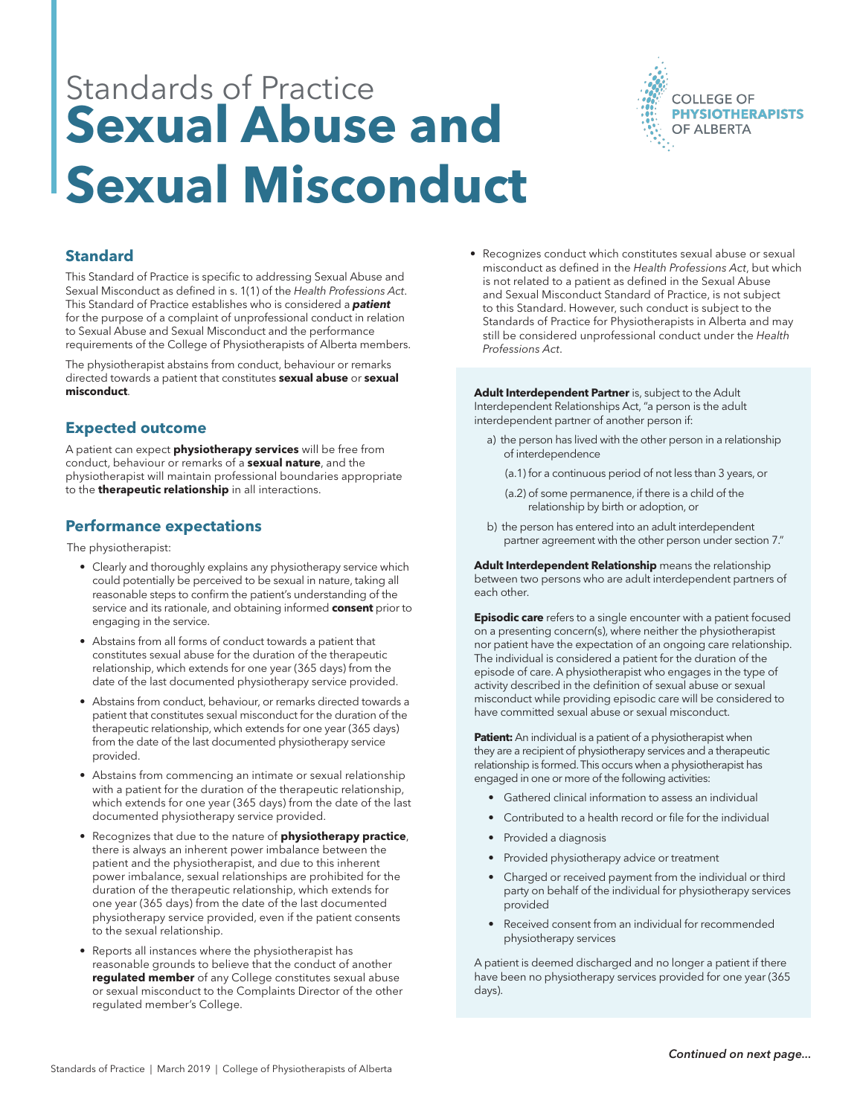# Standards of Practice **Sexual Abuse and Sexual Misconduct**



# **Standard**

This Standard of Practice is specific to addressing Sexual Abuse and Sexual Misconduct as defined in s. 1(1) of the *Health Professions Act*. This Standard of Practice establishes who is considered a *patient* for the purpose of a complaint of unprofessional conduct in relation to Sexual Abuse and Sexual Misconduct and the performance requirements of the College of Physiotherapists of Alberta members.

The physiotherapist abstains from conduct, behaviour or remarks directed towards a patient that constitutes **sexual abuse** or **sexual misconduct**.

## **Expected outcome**

A patient can expect **physiotherapy services** will be free from conduct, behaviour or remarks of a **sexual nature**, and the physiotherapist will maintain professional boundaries appropriate to the **therapeutic relationship** in all interactions.

#### **Performance expectations**

The physiotherapist:

- Clearly and thoroughly explains any physiotherapy service which could potentially be perceived to be sexual in nature, taking all reasonable steps to confirm the patient's understanding of the service and its rationale, and obtaining informed **consent** prior to engaging in the service.
- Abstains from all forms of conduct towards a patient that constitutes sexual abuse for the duration of the therapeutic relationship, which extends for one year (365 days) from the date of the last documented physiotherapy service provided.
- Abstains from conduct, behaviour, or remarks directed towards a patient that constitutes sexual misconduct for the duration of the therapeutic relationship, which extends for one year (365 days) from the date of the last documented physiotherapy service provided.
- Abstains from commencing an intimate or sexual relationship with a patient for the duration of the therapeutic relationship, which extends for one year (365 days) from the date of the last documented physiotherapy service provided.
- Recognizes that due to the nature of **physiotherapy practice**, there is always an inherent power imbalance between the patient and the physiotherapist, and due to this inherent power imbalance, sexual relationships are prohibited for the duration of the therapeutic relationship, which extends for one year (365 days) from the date of the last documented physiotherapy service provided, even if the patient consents to the sexual relationship.
- Reports all instances where the physiotherapist has reasonable grounds to believe that the conduct of another **regulated member** of any College constitutes sexual abuse or sexual misconduct to the Complaints Director of the other regulated member's College.

• Recognizes conduct which constitutes sexual abuse or sexual misconduct as defined in the *Health Professions Act*, but which is not related to a patient as defined in the Sexual Abuse and Sexual Misconduct Standard of Practice, is not subject to this Standard. However, such conduct is subject to the Standards of Practice for Physiotherapists in Alberta and may still be considered unprofessional conduct under the *Health Professions Act*.

**Adult Interdependent Partner** is, subject to the Adult Interdependent Relationships Act, "a person is the adult interdependent partner of another person if:

- a) the person has lived with the other person in a relationship of interdependence
	- (a.1) for a continuous period of not less than 3 years, or
	- (a.2) of some permanence, if there is a child of the relationship by birth or adoption, or
- b) the person has entered into an adult interdependent partner agreement with the other person under section 7."

**Adult Interdependent Relationship** means the relationship between two persons who are adult interdependent partners of each other.

**Episodic care** refers to a single encounter with a patient focused on a presenting concern(s), where neither the physiotherapist nor patient have the expectation of an ongoing care relationship. The individual is considered a patient for the duration of the episode of care. A physiotherapist who engages in the type of activity described in the definition of sexual abuse or sexual misconduct while providing episodic care will be considered to have committed sexual abuse or sexual misconduct.

**Patient:** An individual is a patient of a physiotherapist when they are a recipient of physiotherapy services and a therapeutic relationship is formed. This occurs when a physiotherapist has engaged in one or more of the following activities:

- Gathered clinical information to assess an individual
- Contributed to a health record or file for the individual
- Provided a diagnosis
- Provided physiotherapy advice or treatment
- Charged or received payment from the individual or third party on behalf of the individual for physiotherapy services provided
- Received consent from an individual for recommended physiotherapy services

A patient is deemed discharged and no longer a patient if there have been no physiotherapy services provided for one year (365 days).